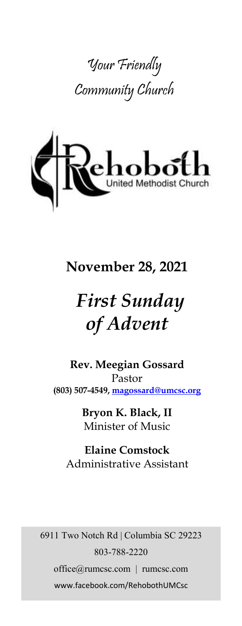



# **November 28, 2021**

# *First Sunday of Advent*

**Rev. Meegian Gossard** Pastor **(803) 507-4549, magossard@umcsc.org**

> **Bryon K. Black, II** Minister of Music

**Elaine Comstock** Administrative Assistant

6911 Two Notch Rd | Columbia SC 29223 803-788-2220 office@rumcsc.com | rumcsc.com www.facebook.com/RehobothUMCsc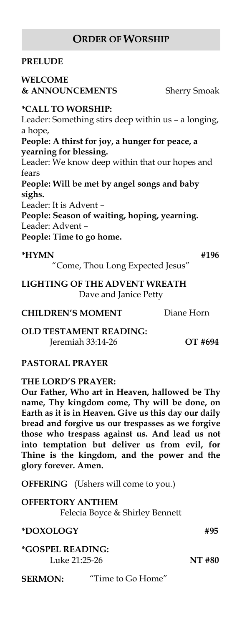### **ORDER OF WORSHIP**

### **PRELUDE**

### **WELCOME**   $&$  **ANNOUNCEMENTS** Sherry Smoak

## **\*CALL TO WORSHIP:**

Leader: Something stirs deep within us – a longing, a hope, **People: A thirst for joy, a hunger for peace, a yearning for blessing.** Leader: We know deep within that our hopes and fears **People: Will be met by angel songs and baby sighs.** Leader: It is Advent – **People: Season of waiting, hoping, yearning.** Leader: Advent – **People: Time to go home.**

### **\*HYMN #196**

"Come, Thou Long Expected Jesus"

**LIGHTING OF THE ADVENT WREATH** Dave and Janice Petty

### **CHILDREN'S MOMENT** Diane Horn

**OLD TESTAMENT READING:** Jeremiah 33:14-26 **OT #694**

### **PASTORAL PRAYER**

### **THE LORD'S PRAYER:**

**Our Father, Who art in Heaven, hallowed be Thy name, Thy kingdom come, Thy will be done, on Earth as it is in Heaven. Give us this day our daily bread and forgive us our trespasses as we forgive those who trespass against us. And lead us not into temptation but deliver us from evil, for Thine is the kingdom, and the power and the glory forever. Amen.** 

**OFFERING** (Ushers will come to you.)

**OFFERTORY ANTHEM**

Felecia Boyce & Shirley Bennett

### **\*DOXOLOGY #95**

**\*GOSPEL READING:** Luke 21:25-26 **NT #80**

**SERMON:** "Time to Go Home"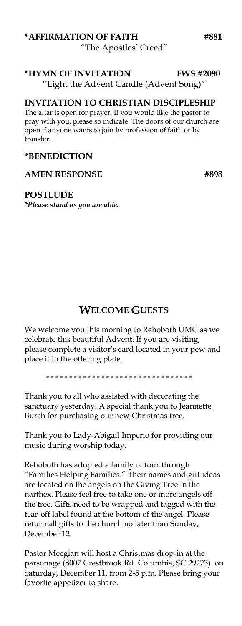### **\*AFFIRMATION OF FAITH #881** "The Apostles' Creed"

### **\*HYMN OF INVITATION FWS #2090**

"Light the Advent Candle (Advent Song)"

### **INVITATION TO CHRISTIAN DISCIPLESHIP**

The altar is open for prayer. If you would like the pastor to pray with you, please so indicate. The doors of our church are open if anyone wants to join by profession of faith or by transfer.

### **\*BENEDICTION**

### AMEN RESPONSE #898

### **POSTLUDE**

*\*Please stand as you are able.*

### **WELCOME GUESTS**

We welcome you this morning to Rehoboth UMC as we celebrate this beautiful Advent. If you are visiting, please complete a visitor's card located in your pew and place it in the offering plate.

................................

Thank you to all who assisted with decorating the sanctuary yesterday. A special thank you to Jeannette Burch for purchasing our new Christmas tree.

Thank you to Lady-Abigail Imperio for providing our music during worship today.

Rehoboth has adopted a family of four through "Families Helping Families." Their names and gift ideas are located on the angels on the Giving Tree in the narthex. Please feel free to take one or more angels off the tree. Gifts need to be wrapped and tagged with the tear-off label found at the bottom of the angel. Please return all gifts to the church no later than Sunday, December 12.

Pastor Meegian will host a Christmas drop-in at the parsonage (8007 Crestbrook Rd. Columbia, SC 29223) on Saturday, December 11, from 2-5 p.m. Please bring your favorite appetizer to share.